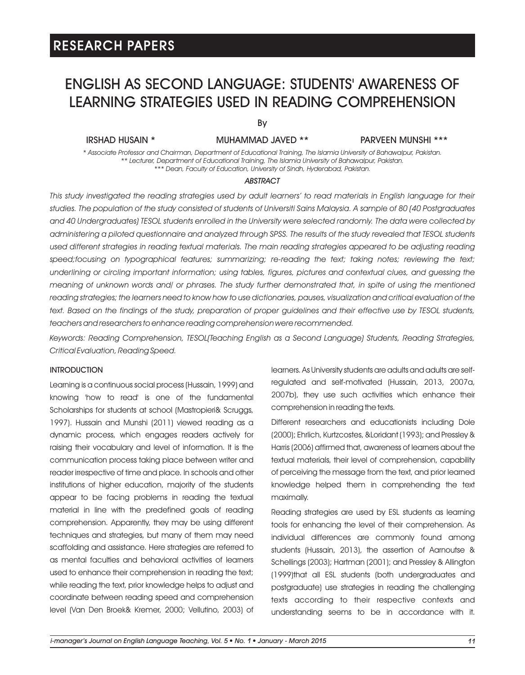### ENGLISH AS SECOND LANGUAGE: STUDENTS' AWARENESS OF LEARNING STRATEGIES USED IN READING COMPREHENSION

By

IRSHAD HUSAIN \* MUHAMMAD JAVED \*\* PARVEEN MUNSHI \*\*\*

*\* Associate Professor and Chairman, Department of Educational Training, The Islamia University of Bahawalpur, Pakistan. \*\* Lecturer, Department of Educational Training, The Islamia University of Bahawalpur, Pakistan. \*\*\* Dean, Faculty of Education, University of Sindh, Hyderabad, Pakistan.* 

#### *ABSTRACT*

*This study investigated the reading strategies used by adult learners' to read materials in English language for their studies. The population of the study consisted of students of Universiti Sains Malaysia. A sample of 80 (40 Postgraduates and 40 Undergraduates) TESOL students enrolled in the University were selected randomly. The data were collected by administering a piloted questionnaire and analyzed through SPSS. The results of the study revealed that TESOL students*  used different strategies in reading textual materials. The main reading strategies appeared to be adjusting reading *speed;focusing on typographical features; summarizing; re-reading the text; taking notes; reviewing the text; underlining or circling important information; using tables, figures, pictures and contextual clues, and guessing the meaning of unknown words and/ or phrases. The study further demonstrated that, in spite of using the mentioned reading strategies; the learners need to know how to use dictionaries, pauses, visualization and critical evaluation of the*  text. Based on the findings of the study, preparation of proper guidelines and their effective use by TESOL students, *teachers and researchers to enhance reading comprehension were recommended.* 

*Keywords: Reading Comprehension, TESOL(Teaching English as a Second Language) Students, Reading Strategies, Critical Evaluation, Reading Speed.*

### INTRODUCTION

Learning is a continuous social process (Hussain, 1999) and knowing 'how to read' is one of the fundamental Scholarships for students at school (Mastropieri& Scruggs, 1997). Hussain and Munshi (2011) viewed reading as a dynamic process, which engages readers actively for raising their vocabulary and level of information. It is the communication process taking place between writer and reader irrespective of time and place. In schools and other institutions of higher education, majority of the students appear to be facing problems in reading the textual material in line with the predefined goals of reading comprehension. Apparently, they may be using different techniques and strategies, but many of them may need scaffolding and assistance. Here strategies are referred to as mental faculties and behavioral activities of learners used to enhance their comprehension in reading the text; while reading the text, prior knowledge helps to adjust and coordinate between reading speed and comprehension level (Van Den Broek& Kremer, 2000; Vellutino, 2003) of

learners. As University students are adults and adults are selfregulated and self-motivated (Hussain, 2013, 2007a, 2007b), they use such activities which enhance their comprehension in reading the texts.

Different researchers and educationists including Dole (2000); Ehrlich, Kurtzcostes, &Loridant (1993); and Pressley & Harris (2006) affirmed that, awareness of learners about the textual materials, their level of comprehension, capability of perceiving the message from the text, and prior learned knowledge helped them in comprehending the text maximally.

Reading strategies are used by ESL students as learning tools for enhancing the level of their comprehension. As individual differences are commonly found among students (Hussain, 2013), the assertion of Aarnoutse & Schellings (2003); Hartman (2001); and Pressley & Allington (1999)that all ESL students (both undergraduates and postgraduate) use strategies in reading the challenging texts according to their respective contexts and understanding seems to be in accordance with it.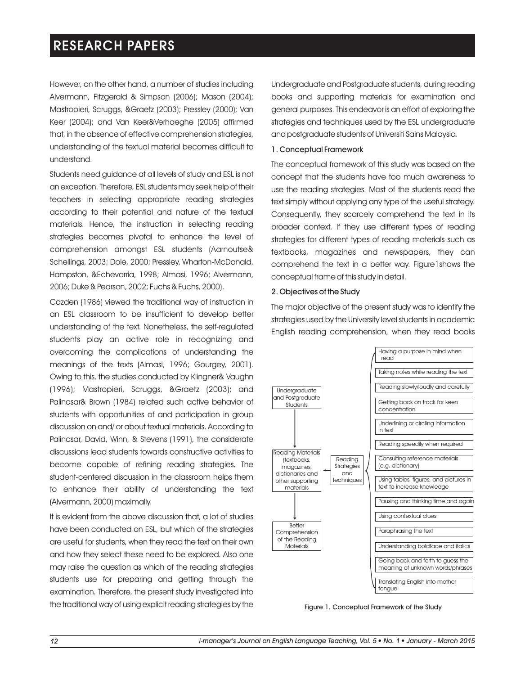However, on the other hand, a number of studies including Alvermann, Fitzgerald & Simpson (2006); Mason (2004); Mastropieri, Scruggs, &Graetz (2003); Pressley (2000); Van Keer (2004); and Van Keer&Verhaeghe (2005) affirmed that, in the absence of effective comprehension strategies, understanding of the textual material becomes difficult to understand.

Students need guidance at all levels of study and ESL is not an exception. Therefore, ESL students may seek help of their teachers in selecting appropriate reading strategies according to their potential and nature of the textual materials. Hence, the instruction in selecting reading strategies becomes pivotal to enhance the level of comprehension amongst ESL students (Aarnoutse& Schellings, 2003; Dole, 2000; Pressley, Wharton-McDonald, Hampston, &Echevarria, 1998; Almasi, 1996; Alvermann, 2006; Duke & Pearson, 2002; Fuchs & Fuchs, 2000).

Cazden (1986) viewed the traditional way of instruction in an ESL classroom to be insufficient to develop better understanding of the text. Nonetheless, the self-regulated students play an active role in recognizing and overcoming the complications of understanding the meanings of the texts (Almasi, 1996; Gourgey, 2001). Owing to this, the studies conducted by Klingner& Vaughn (1996); Mastropieri, Scruggs, &Graetz (2003); and Palincsar& Brown (1984) related such active behavior of students with opportunities of and participation in group discussion on and/ or about textual materials. According to Palincsar, David, Winn, & Stevens (1991), the considerate discussions lead students towards constructive activities to become capable of refining reading strategies. The student-centered discussion in the classroom helps them to enhance their ability of understanding the text (Alvermann, 2000) maximally.

It is evident from the above discussion that, a lot of studies have been conducted on ESL, but which of the strategies are useful for students, when they read the text on their own and how they select these need to be explored. Also one may raise the question as which of the reading strategies students use for preparing and getting through the examination. Therefore, the present study investigated into the traditional way of using explicit reading strategies by the

Undergraduate and Postgraduate students, during reading books and supporting materials for examination and general purposes. This endeavor is an effort of exploring the strategies and techniques used by the ESL undergraduate and postgraduate students of Universiti Sains Malaysia.

#### 1. Conceptual Framework

The conceptual framework of this study was based on the concept that the students have too much awareness to use the reading strategies. Most of the students read the text simply without applying any type of the useful strategy. Consequently, they scarcely comprehend the text in its broader context. If they use different types of reading strategies for different types of reading materials such as textbooks, magazines and newspapers, they can comprehend the text in a better way. Figure1shows the conceptual frame of this study in detail.

#### 2. Objectives of the Study

The major objective of the present study was to identify the strategies used by the University level students in academic English reading comprehension, when they read books



Figure 1. Conceptual Framework of the Study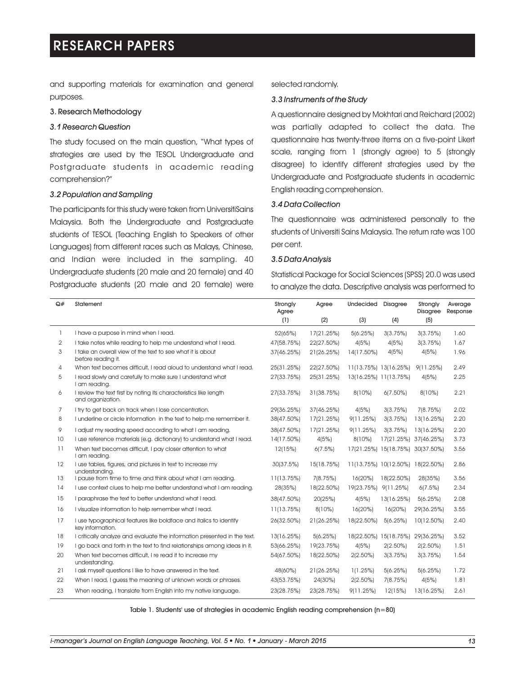and supporting materials for examination and general purposes.

#### 3. Research Methodology

#### *3.1 Research Question*

The study focused on the main question, "What types of strategies are used by the TESOL Undergraduate and Postgraduate students in academic reading comprehension?"

#### *3.2 Population and Sampling*

The participants for this study were taken from UniversitiSains Malaysia. Both the Undergraduate and Postgraduate students of TESOL (Teaching English to Speakers of other Languages) from different races such as Malays, Chinese, and Indian were included in the sampling. 40 Undergraduate students (20 male and 20 female) and 40 Postgraduate students (20 male and 20 female) were

#### selected randomly.

### *3.3 Instruments of the Study*

A questionnaire designed by Mokhtari and Reichard (2002) was partially adapted to collect the data. The questionnaire has twenty-three items on a five-point Likert scale, ranging from 1 (strongly agree) to 5 (strongly disagree) to identify different strategies used by the Undergraduate and Postgraduate students in academic English reading comprehension.

#### *3.4 Data Collection*

The questionnaire was administered personally to the students of Universiti Sains Malaysia. The return rate was 100 per cent.

### *3.5 Data Analysis*

Statistical Package for Social Sciences (SPSS) 20.0 was used to analyze the data. Descriptive analysis was performed to

| Q#             | Statement                                                                              | Strongly<br>Agree | Agree      | <b>Undecided</b>      | Disagree                         | Strongly<br><b>Disagree</b> | Average<br>Response |
|----------------|----------------------------------------------------------------------------------------|-------------------|------------|-----------------------|----------------------------------|-----------------------------|---------------------|
|                |                                                                                        | (1)               | (2)        | (3)                   | (4)                              | (5)                         |                     |
| 1              | I have a purpose in mind when I read.                                                  | 52(65%)           | 17(21.25%) | 5(6.25%)              | 3(3.75%)                         | 3(3.75%)                    | 1.60                |
| 2              | I take notes while reading to help me understand what I read.                          | 47(58.75%)        | 22(27.50%) | 4(5%)                 | 4(5%)                            | 3(3.75%)                    | 1.67                |
| 3              | I take an overall view of the text to see what it is about<br>before reading it.       | 37(46.25%)        | 21(26.25%) | 14(17.50%)            | 4(5%)                            | 4(5%)                       | 1.96                |
| 4              | When text becomes difficult, I read aloud to understand what I read.                   | 25(31.25%)        | 22(27.50%) |                       | 11(13.75%) 13(16.25%)            | 9(11.25%)                   | 2.49                |
| 5              | I read slowly and carefully to make sure I understand what<br>I am reading.            | 27(33.75%)        | 25(31.25%) | 13(16.25%) 11(13.75%) |                                  | 4(5%)                       | 2.25                |
| 6              | I review the text first by noting its characteristics like length<br>and organization. | 27(33.75%)        | 31(38.75%) | 8(10%)                | $6(7.50\%)$                      | 8(10%)                      | 2.21                |
| $\overline{7}$ | I try to get back on track when I lose concentration.                                  | 29(36.25%)        | 37(46.25%) | 4(5%)                 | 3(3.75%)                         | 7(8.75%)                    | 2.02                |
| 8              | I underline or circle information in the text to help me remember it.                  | 38(47.50%)        | 17(21.25%) | 9(11.25%)             | 3(3.75%)                         | 13(16.25%)                  | 2.20                |
| 9              | I adjust my reading speed according to what I am reading.                              | 38(47.50%)        | 17(21.25%) | 9(11.25%)             | 3(3.75%)                         | 13(16.25%)                  | 2.20                |
| 10             | I use reference materials (e.g. dictionary) to understand what I read.                 | 14(17.50%)        | 4(5%)      | 8(10%)                | 17(21.25%) 37(46.25%)            |                             | 3.73                |
| 11             | When text becomes difficult, I pay closer attention to what<br>I am reading.           | 12(15%)           | 6(7.5%)    |                       | 17(21.25%) 15(18.75%) 30(37.50%) |                             | 3.56                |
| 12             | I use tables, figures, and pictures in text to increase my<br>understandina.           | 30(37.5%)         | 15(18.75%) |                       | 11(13.75%) 10(12.50%) 18(22.50%) |                             | 2.86                |
| 13             | I pause from time to time and think about what I am reading.                           | 11(13.75%)        | 7(8.75%)   | 16(20%)               | 18(22.50%)                       | 28(35%)                     | 3.56                |
| 14             | I use context clues to help me better understand what I am reading.                    | 28(35%)           | 18(22.50%) | 19(23.75%) 9(11.25%)  |                                  | 6(7.5%)                     | 2.34                |
| 15             | I paraphrase the text to better understand what I read.                                | 38(47.50%)        | 20(25%)    | 4(5%)                 | 13(16.25%)                       | 5(6.25%)                    | 2.08                |
| 16             | I visualize information to help remember what I read.                                  | 11(13.75%)        | 8(10%)     | 16(20%)               | 16(20%)                          | 29(36.25%)                  | 3.55                |
| 17             | I use typographical features like boldface and italics to identify<br>key information. | 26(32.50%)        | 21(26.25%) | 18(22.50%)            | 5(6.25%)                         | 10(12.50%)                  | 2.40                |
| 18             | I critically analyze and evaluate the information presented in the text.               | 13(16.25%)        | 5(6.25%)   |                       | 18(22.50%) 15(18.75%) 29(36.25%) |                             | 3.52                |
| 19             | I go back and forth in the text to find relationships among ideas in it.               | 53(66.25%)        | 19(23.75%) | 4(5%)                 | $2(2.50\%)$                      | $2(2.50\%)$                 | 1.51                |
| 20             | When text becomes difficult, I re read it to increase my<br>understanding.             | 54(67.50%)        | 18(22.50%) | $2(2.50\%)$           | 3(3.75%)                         | 3(3.75%)                    | 1.54                |
| 21             | I ask myself questions I like to have answered in the text.                            | 48(60%)           | 21(26.25%) | 1(1.25%)              | 5(6.25%)                         | 5(6.25%)                    | 1.72                |
| 22             | When I read, I guess the meaning of unknown words or phrases.                          | 43(53.75%)        | 24(30%)    | $2(2.50\%)$           | 7(8.75%)                         | 4(5%)                       | 1.81                |
| 23             | When reading, I translate from English into my native language.                        | 23(28.75%)        | 23(28.75%) | 9(11.25%)             | 12(15%)                          | 13(16.25%)                  | 2.61                |

Table 1. Students' use of strategies in academic English reading comprehension (n=80)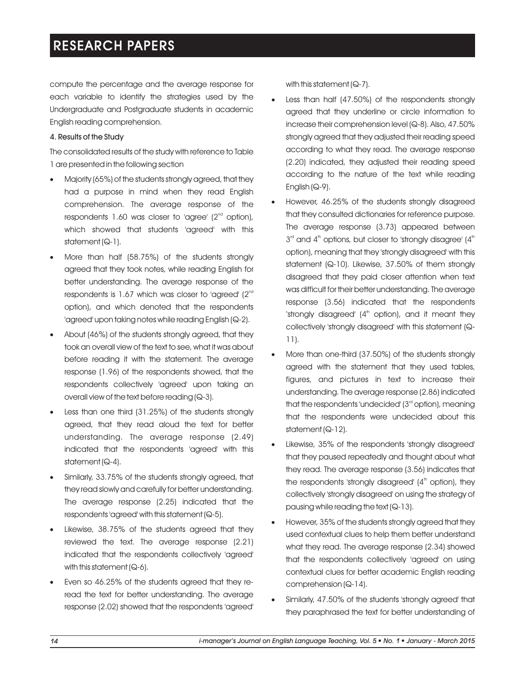compute the percentage and the average response for each variable to identify the strategies used by the Undergraduate and Postgraduate students in academic English reading comprehension.

### 4. Results of the Study

The consolidated results of the study with reference to Table 1 are presented in the following section

- Majority (65%) of the students strongly agreed, that they had a purpose in mind when they read English comprehension. The average response of the respondents 1.60 was closer to 'agree' ( $2<sup>nd</sup>$  option), which showed that students 'agreed' with this statement (Q-1).
- ·More than half (58.75%) of the students strongly agreed that they took notes, while reading English for better understanding. The average response of the respondents is 1.67 which was closer to 'agreed'  $(2^{nd}$ option), and which denoted that the respondents 'agreed' upon taking notes while reading English (Q-2).
- About (46%) of the students strongly agreed, that they took an overall view of the text to see, what it was about before reading it with the statement. The average response (1.96) of the respondents showed, that the respondents collectively 'agreed' upon taking an overall view of the text before reading (Q-3).
- Less than one third (31.25%) of the students strongly agreed, that they read aloud the text for better understanding. The average response (2.49) indicated that the respondents 'agreed' with this statement (Q-4).
- Similarly, 33.75% of the students strongly agreed, that they read slowly and carefully for better understanding. The average response (2.25) indicated that the respondents 'agreed' with this statement (Q-5).
- Likewise, 38.75% of the students agreed that they reviewed the text. The average response (2.21) indicated that the respondents collectively 'agreed' with this statement (Q-6).
- ·Even so 46.25% of the students agreed that they reread the text for better understanding. The average response (2.02) showed that the respondents 'agreed'

with this statement (Q-7).

- Less than half (47.50%) of the respondents strongly agreed that they underline or circle information to increase their comprehension level (Q-8). Also, 47.50% strongly agreed that they adjusted their reading speed according to what they read. The average response (2.20) indicated, they adjusted their reading speed according to the nature of the text while reading English (Q-9).
- However, 46.25% of the students strongly disagreed that they consulted dictionaries for reference purpose. The average response (3.73) appeared between  $3<sup>rd</sup>$  and  $4<sup>th</sup>$  options, but closer to 'strongly disagree' ( $4<sup>th</sup>$ option), meaning that they 'strongly disagreed' with this statement (Q-10). Likewise, 37.50% of them strongly disagreed that they paid closer attention when text was difficult for their better understanding. The average response (3.56) indicated that the respondents 'strongly disagreed' (4<sup>th</sup> option), and it meant they collectively 'strongly disagreed' with this statement (Q-11).
- More than one-third (37.50%) of the students strongly agreed with the statement that they used tables, figures, and pictures in text to increase their understanding. The average response (2.86) indicated that the respondents 'undecided'  $(3<sup>rd</sup>$  option), meaning that the respondents were undecided about this statement (Q-12).
- Likewise, 35% of the respondents 'strongly disagreed' that they paused repeatedly and thought about what they read. The average response (3.56) indicates that the respondents 'strongly disagreed'  $(4<sup>th</sup>$  option), they collectively 'strongly disagreed' on using the strategy of pausing while reading the text (Q-13).
- However, 35% of the students strongly agreed that they used contextual clues to help them better understand what they read. The average response (2.34) showed that the respondents collectively 'agreed' on using contextual clues for better academic English reading comprehension (Q-14).
- ·Similarly, 47.50% of the students 'strongly agreed' that they paraphrased the text for better understanding of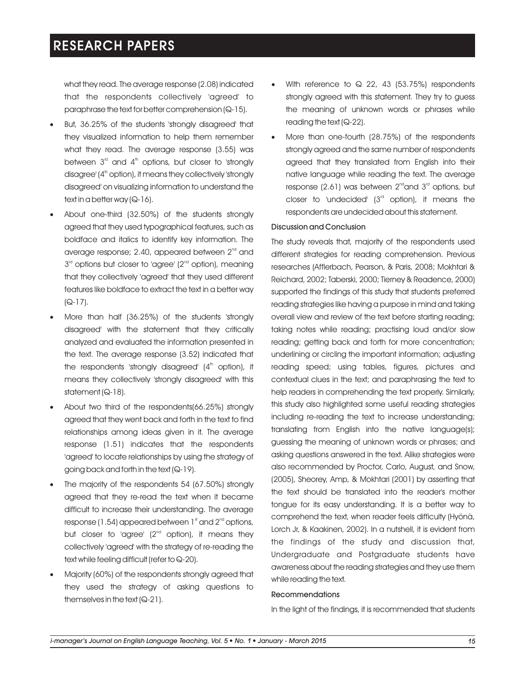what they read. The average response (2.08) indicated that the respondents collectively 'agreed' to paraphrase the text for better comprehension (Q-15).

- But, 36.25% of the students 'strongly disagreed' that they visualized information to help them remember what they read. The average response (3.55) was between  $3<sup>rd</sup>$  and  $4<sup>th</sup>$  options, but closer to 'strongly disagree' (4<sup>th</sup> option), it means they collectively 'strongly disagreed' on visualizing information to understand the text in a better way (Q-16).
- About one-third (32.50%) of the students strongly agreed that they used typographical features, such as boldface and italics to identify key information. The average response; 2.40, appeared between  $2<sup>nd</sup>$  and  $3<sup>rd</sup>$  options but closer to 'agree' ( $2<sup>nd</sup>$  option), meaning that they collectively 'agreed' that they used different features like boldface to extract the text in a better way  $(Q-17)$ .
- More than half (36.25%) of the students 'strongly disagreed' with the statement that they critically analyzed and evaluated the information presented in the text. The average response (3.52) indicated that the respondents 'strongly disagreed'  $(4<sup>th</sup>$  option), it means they collectively 'strongly disagreed' with this statement (Q-18).
- ·About two third of the respondents(66.25%) strongly agreed that they went back and forth in the text to find relationships among ideas given in it. The average response (1.51) indicates that the respondents 'agreed' to locate relationships by using the strategy of going back and forth in the text (Q-19).
- The majority of the respondents 54 (67.50%) strongly agreed that they re-read the text when it became difficult to increase their understanding. The average response (1.54) appeared between  $1<sup>st</sup>$  and  $2<sup>nd</sup>$  options, but closer to 'agree'  $(2<sup>nd</sup>$  option), it means they collectively 'agreed' with the strategy of re-reading the text while feeling difficult (refer to Q-20).
- ·Majority (60%) of the respondents strongly agreed that they used the strategy of asking questions to themselves in the text (Q-21).
- With reference to  $\Omega$  22, 43 (53.75%) respondents strongly agreed with this statement. They try to guess the meaning of unknown words or phrases while reading the text (Q-22).
- More than one-fourth (28.75%) of the respondents strongly agreed and the same number of respondents agreed that they translated from English into their native language while reading the text. The average response (2.61) was between  $2^{nd}$  and  $3^{rd}$  options, but closer to 'undecided'  $(3<sup>rd</sup>$  option), it means the respondents are undecided about this statement.

#### Discussion and Conclusion

The study reveals that, majority of the respondents used different strategies for reading comprehension. Previous researches (Afflerbach, Pearson, & Paris, 2008; Mokhtari & Reichard, 2002; Taberski, 2000; Tierney & Readence, 2000) supported the findings of this study that students preferred reading strategies like having a purpose in mind and taking overall view and review of the text before starting reading; taking notes while reading; practising loud and/or slow reading; getting back and forth for more concentration; underlining or circling the important information; adjusting reading speed; using tables, figures, pictures and contextual clues in the text; and paraphrasing the text to help readers in comprehending the text properly. Similarly, this study also highlighted some useful reading strategies including re-reading the text to increase understanding; translating from English into the native language(s); guessing the meaning of unknown words or phrases; and asking questions answered in the text. Alike strategies were also recommended by Proctor, Carlo, August, and Snow, (2005), Sheorey, Amp, & Mokhtari (2001) by asserting that the text should be translated into the reader's mother tongue for its easy understanding. It is a better way to comprehend the text, when reader feels difficulty (Hyönä, Lorch Jr, & Kaakinen, 2002). In a nutshell, it is evident from the findings of the study and discussion that, Undergraduate and Postgraduate students have awareness about the reading strategies and they use them while reading the text.

### Recommendations

In the light of the findings, it is recommended that students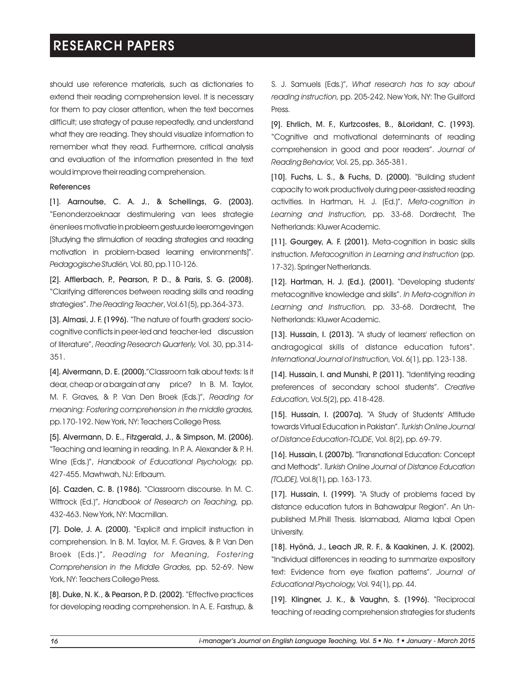should use reference materials, such as dictionaries to extend their reading comprehension level. It is necessary for them to pay closer attention, when the text becomes difficult; use strategy of pause repeatedly, and understand what they are reading. They should visualize information to remember what they read. Furthermore, critical analysis and evaluation of the information presented in the text would improve their reading comprehension.

#### References

[1]. Aarnoutse, C. A. J., & Schellings, G. (2003). "Eenonderzoeknaar destimulering van lees strategie ënenlees motivatie in probleem gestuurde leeromgevingen [Studying the stimulation of reading strategies and reading motivation in problem-based learning environments]". *PedagogischeStudiën,* Vol.80,pp.110-126.

[2]. Afflerbach, P., Pearson, P. D., & Paris, S. G. (2008). "Clarifying differences between reading skills and reading strategies". *The Reading Teacher*, Vol.61(5), pp.364-373.

[3]. Almasi, J. F. (1996). "The nature of fourth graders' sociocognitive conflicts in peer-led and teacher-led discussion of literature", *Reading Research Quarterly,* Vol. 30, pp.314- 351.

[4]. Alvermann, D. E. (2000)."Classroom talk about texts: Is it dear, cheap or a bargain at any price? In B. M. Taylor, M. F. Graves, & P. Van Den Broek (Eds.)", *Reading for meaning: Fostering comprehension in the middle grades,*  pp.170-192. New York, NY: Teachers College Press.

[5]. Alvermann, D. E., Fitzgerald, J., & Simpson, M. (2006). "Teaching and learning in reading. In P. A. Alexander & P. H. Wine (Eds.)", *Handbook of Educational Psychology,* pp. 427-455. Mawhwah, NJ: Erlbaum.

[6]. Cazden, C. B. (1986). "Classroom discourse. In M. C. Wittrock (Ed.)", *Handbook of Research on Teaching,* pp. 432-463. New York, NY: Macmillan.

[7]. Dole, J. A. (2000). "Explicit and implicit instruction in comprehension. In B. M. Taylor, M. F. Graves, & P. Van Den Broek (Eds.)", *Reading for Meaning, Fostering Comprehension in the Middle Grades,* pp. 52-69. New York, NY: Teachers College Press.

[8]. Duke, N. K., & Pearson, P. D. (2002). "Effective practices for developing reading comprehension. In A. E. Farstrup, &

S. J. Samuels (Eds.)", *What research has to say about reading instruction,* pp. 205-242. New York, NY: The Guilford Press.

[9]. Ehrlich, M. F., Kurtzcostes, B., &Loridant, C. (1993). "Cognitive and motivational determinants of reading comprehension in good and poor readers". *Journal of Reading Behavior,* Vol. 25, pp. 365-381.

[10]. Fuchs, L. S., & Fuchs, D. (2000). "Building student capacity to work productively during peer-assisted reading activities. In Hartman, H. J. (Ed.)", *Meta-cognition in Learning and Instruction,* pp. 33-68. Dordrecht, The Netherlands: Kluwer Academic.

[11]. Gourgey, A. F. (2001). Meta-cognition in basic skills instruction. *Metacognition in Learning and Instruction* (pp. 17-32). Springer Netherlands.

[12]. Hartman, H. J. (Ed.). (2001). "Developing students' metacognitive knowledge and skills". *In Meta-cognition in Learning and Instruction,* pp. 33-68. Dordrecht, The Netherlands: Kluwer Academic.

[13]. Hussain, I. (2013). "A study of learners' reflection on andragogical skills of distance education tutors". *International Journal of Instruction,* Vol. 6(1), pp. 123-138.

[14]. Hussain, I. and Munshi, P. (2011). "Identifying reading preferences of secondary school students". *Creative Education,* Vol.5(2), pp. 418-428.

[15]. Hussain, I. (2007a). "A Study of Students' Attitude towards Virtual Education in Pakistan". *Turkish Online Journal of Distance Education-TOJDE,* Vol. 8(2), pp. 69-79.

[16]. Hussain, I. (2007b). "Transnational Education: Concept and Methods". *Turkish Online Journal of Distance Education (TOJDE),* Vol.8(1),pp.163-173.

[17]. Hussain, I. (1999). "A Study of problems faced by distance education tutors in Bahawalpur Region". An Unpublished M.Phill Thesis. Islamabad, Allama Iqbal Open University.

[18]. Hyönä, J., Leach JR, R. F., & Kaakinen, J. K. (2002). "Individual differences in reading to summarize expository text: Evidence from eye fixation patterns". *Journal of Educational Psychology,* Vol. 94(1), pp. 44.

[19]. Klingner, J. K., & Vaughn, S. (1996). "Reciprocal teaching of reading comprehension strategies for students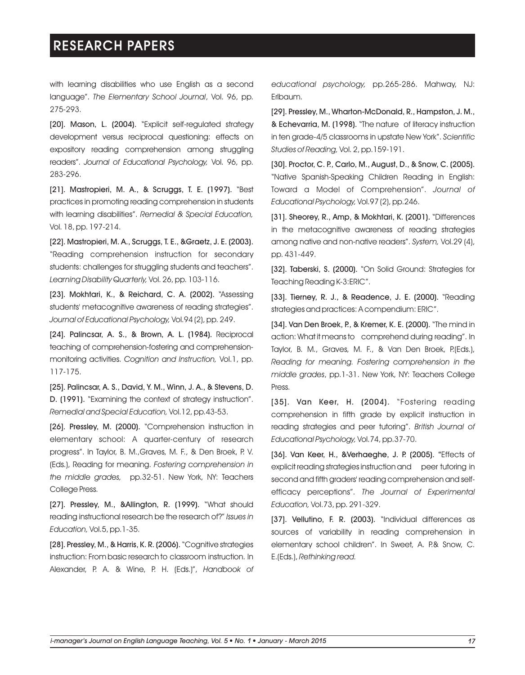with learning disabilities who use English as a second language". *The Elementary School Journal*, Vol. 96, pp. 275-293.

[20]. Mason, L. (2004). "Explicit self-regulated strategy development versus reciprocal questioning: effects on expository reading comprehension among struggling readers". *Journal of Educational Psychology,* Vol. 96, pp. 283-296.

[21]. Mastropieri, M. A., & Scruggs, T. E. (1997). "Best practices in promoting reading comprehension in students with learning disabilities". *Remedial & Special Education,*  Vol. 18, pp. 197-214.

[22]. Mastropieri, M. A., Scruggs, T. E., &Graetz, J. E. (2003). "Reading comprehension instruction for secondary students: challenges for struggling students and teachers". *Learning Disability Quarterly,* Vol. 26, pp. 103-116.

[23]. Mokhtari, K., & Reichard, C. A. (2002). "Assessing students' metacognitive awareness of reading strategies". *Journal of Educational Psychology,* Vol.94 (2), pp. 249.

[24]. Palincsar, A. S., & Brown, A. L. (1984). Reciprocal teaching of comprehension-fostering and comprehensionmonitoring activities. *Cognition and Instruction,* Vol.1, pp. 117-175.

[25]. Palincsar, A. S., David, Y. M., Winn, J. A., & Stevens, D. D. (1991). "Examining the context of strategy instruction". *Remedial and Special Education,* Vol.12, pp.43-53.

[26]. Pressley, M. (2000). "Comprehension instruction in elementary school: A quarter-century of research progress". In Taylor, B. M.,Graves, M. F., & Den Broek, P. V. (Eds.), Reading for meaning. *Fostering comprehension in the middle grades,* pp.32-51. New York, NY: Teachers College Press.

[27]. Pressley, M., &Allington, R. (1999). "What should reading instructional research be the research of?" *Issues in Education,* Vol.5, pp.1-35.

[28]. Pressley, M., & Harris, K. R. (2006). "Cognitive strategies instruction: From basic research to classroom instruction. In Alexander, P. A. & Wine, P. H. (Eds.)", *Handbook of* 

*educational psychology,* pp.265-286. Mahway, NJ: Erlbaum.

[29]. Pressley, M., Wharton-McDonald, R., Hampston, J. M., & Echevarria, M. (1998). "The nature of literacy instruction in ten grade-4/5 classrooms in upstate New York". *Scientific Studies of Reading,* Vol. 2, pp.159-191.

[30]. Proctor, C. P., Carlo, M., August, D., & Snow, C. (2005). "Native Spanish-Speaking Children Reading in English: Toward a Model of Comprehension". *Journal of Educational Psychology,* Vol.97 (2), pp.246.

[31]. Sheorey, R., Amp, & Mokhtari, K. (2001). "Differences in the metacognitive awareness of reading strategies among native and non-native readers". *System,* Vol.29 (4), pp. 431-449.

[32]. Taberski, S. (2000). "On Solid Ground: Strategies for Teaching Reading K-3:ERIC".

[33]. Tierney, R. J., & Readence, J. E. (2000). "Reading strategies and practices: A compendium: ERIC".

[34]. Van Den Broek, P., & Kremer, K. E. (2000). "The mind in action: What it means to comprehend during reading". In Taylor, B. M., Graves, M. F., & Van Den Broek, P.(Eds.), *Reading for meaning. Fostering comprehension in the middle grades*, pp.1-31. New York, NY: Teachers College Press.

[35]. Van Keer, H. (2004). "Fostering reading comprehension in fifth grade by explicit instruction in reading strategies and peer tutoring". *British Journal of Educational Psychology,* Vol.74, pp.37-70.

[36]. Van Keer, H., &Verhaeghe, J. P. (2005). "Effects of explicit reading strategies instruction and peer tutoring in second and fifth graders' reading comprehension and selfefficacy perceptions". *The Journal of Experimental Education,* Vol.73, pp. 291-329.

[37]. Vellutino, F. R. (2003). "Individual differences as sources of variability in reading comprehension in elementary school children". In Sweet, A. P.& Snow, C. E.(Eds.), *Rethinking read.*